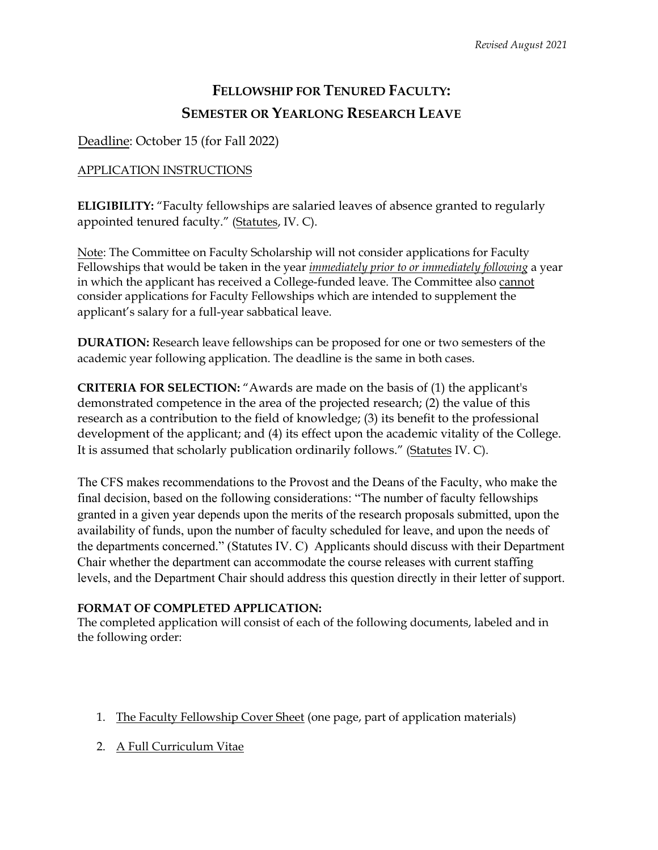# **FELLOWSHIP FOR TENURED FACULTY: SEMESTER OR YEARLONG RESEARCH LEAVE**

Deadline: October 15 (for Fall 2022)

# APPLICATION INSTRUCTIONS

**ELIGIBILITY:** "Faculty fellowships are salaried leaves of absence granted to regularly appointed tenured faculty." (Statutes, IV. C).

Note: The Committee on Faculty Scholarship will not consider applications for Faculty Fellowships that would be taken in the year *immediately prior to or immediately following* a year in which the applicant has received a College-funded leave. The Committee also cannot consider applications for Faculty Fellowships which are intended to supplement the applicant's salary for a full-year sabbatical leave.

**DURATION:** Research leave fellowships can be proposed for one or two semesters of the academic year following application. The deadline is the same in both cases.

**CRITERIA FOR SELECTION:** "Awards are made on the basis of (1) the applicant's demonstrated competence in the area of the projected research; (2) the value of this research as a contribution to the field of knowledge; (3) its benefit to the professional development of the applicant; and (4) its effect upon the academic vitality of the College. It is assumed that scholarly publication ordinarily follows." (Statutes IV. C).

The CFS makes recommendations to the Provost and the Deans of the Faculty, who make the final decision, based on the following considerations: "The number of faculty fellowships granted in a given year depends upon the merits of the research proposals submitted, upon the availability of funds, upon the number of faculty scheduled for leave, and upon the needs of the departments concerned." (Statutes IV. C) Applicants should discuss with their Department Chair whether the department can accommodate the course releases with current staffing levels, and the Department Chair should address this question directly in their letter of support.

## **FORMAT OF COMPLETED APPLICATION:**

The completed application will consist of each of the following documents, labeled and in the following order:

- 1. The Faculty Fellowship Cover Sheet (one page, part of application materials)
- 2. A Full Curriculum Vitae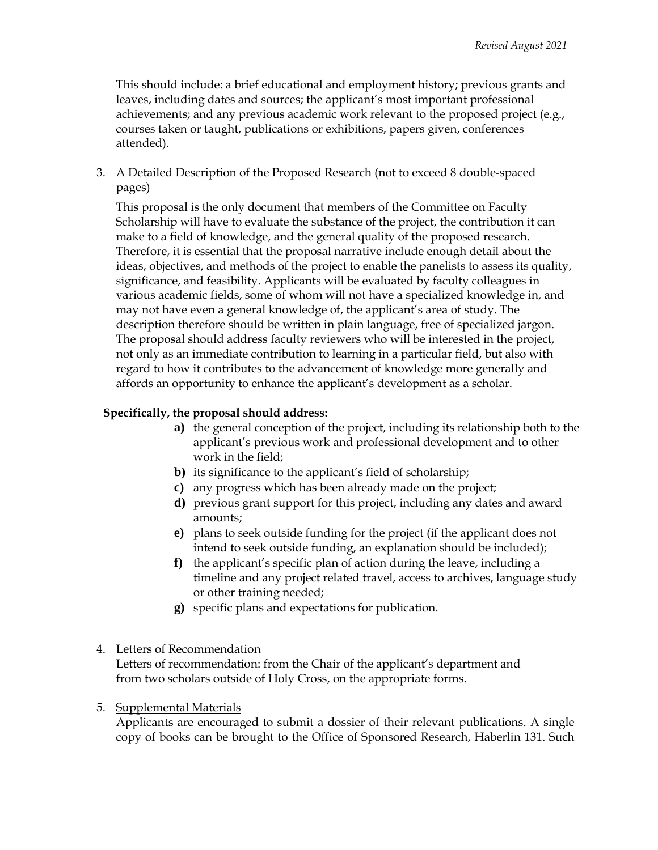This should include: a brief educational and employment history; previous grants and leaves, including dates and sources; the applicant's most important professional achievements; and any previous academic work relevant to the proposed project (e.g., courses taken or taught, publications or exhibitions, papers given, conferences attended).

3. A Detailed Description of the Proposed Research (not to exceed 8 double-spaced pages)

This proposal is the only document that members of the Committee on Faculty Scholarship will have to evaluate the substance of the project, the contribution it can make to a field of knowledge, and the general quality of the proposed research. Therefore, it is essential that the proposal narrative include enough detail about the ideas, objectives, and methods of the project to enable the panelists to assess its quality, significance, and feasibility. Applicants will be evaluated by faculty colleagues in various academic fields, some of whom will not have a specialized knowledge in, and may not have even a general knowledge of, the applicant's area of study. The description therefore should be written in plain language, free of specialized jargon. The proposal should address faculty reviewers who will be interested in the project, not only as an immediate contribution to learning in a particular field, but also with regard to how it contributes to the advancement of knowledge more generally and affords an opportunity to enhance the applicant's development as a scholar.

### **Specifically, the proposal should address:**

- **a)** the general conception of the project, including its relationship both to the applicant's previous work and professional development and to other work in the field;
- **b)** its significance to the applicant's field of scholarship;
- **c)** any progress which has been already made on the project;
- **d)** previous grant support for this project, including any dates and award amounts;
- **e)** plans to seek outside funding for the project (if the applicant does not intend to seek outside funding, an explanation should be included);
- **f)** the applicant's specific plan of action during the leave, including a timeline and any project related travel, access to archives, language study or other training needed;
- **g)** specific plans and expectations for publication.

#### 4. Letters of Recommendation

Letters of recommendation: from the Chair of the applicant's department and from two scholars outside of Holy Cross, on the appropriate forms.

#### 5. Supplemental Materials

Applicants are encouraged to submit a dossier of their relevant publications. A single copy of books can be brought to the Office of Sponsored Research, Haberlin 131. Such